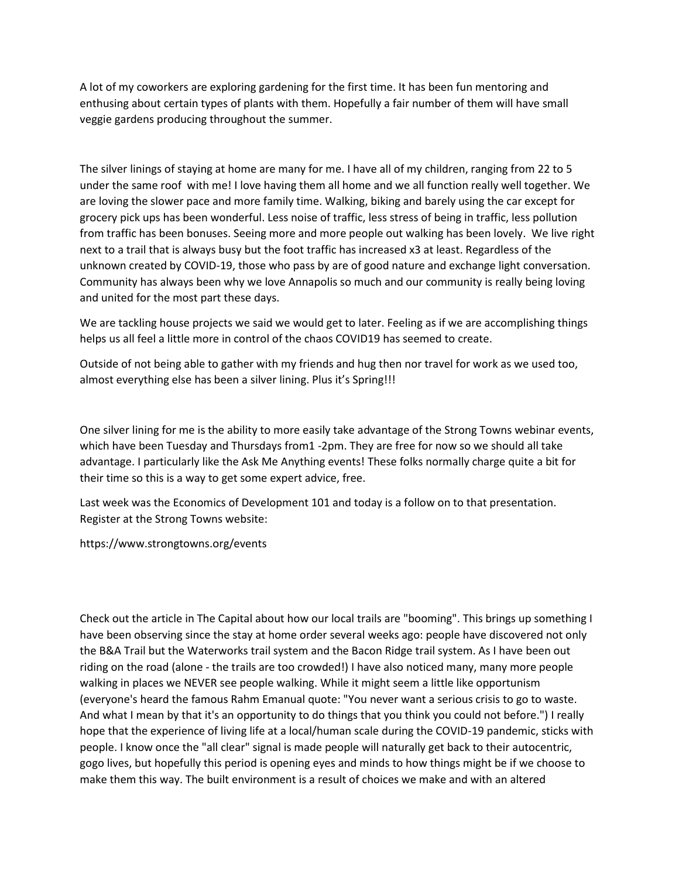A lot of my coworkers are exploring gardening for the first time. It has been fun mentoring and enthusing about certain types of plants with them. Hopefully a fair number of them will have small veggie gardens producing throughout the summer.

The silver linings of staying at home are many for me. I have all of my children, ranging from 22 to 5 under the same roof with me! I love having them all home and we all function really well together. We are loving the slower pace and more family time. Walking, biking and barely using the car except for grocery pick ups has been wonderful. Less noise of traffic, less stress of being in traffic, less pollution from traffic has been bonuses. Seeing more and more people out walking has been lovely. We live right next to a trail that is always busy but the foot traffic has increased x3 at least. Regardless of the unknown created by COVID-19, those who pass by are of good nature and exchange light conversation. Community has always been why we love Annapolis so much and our community is really being loving and united for the most part these days.

We are tackling house projects we said we would get to later. Feeling as if we are accomplishing things helps us all feel a little more in control of the chaos COVID19 has seemed to create.

Outside of not being able to gather with my friends and hug then nor travel for work as we used too, almost everything else has been a silver lining. Plus it's Spring!!!

One silver lining for me is the ability to more easily take advantage of the Strong Towns webinar events, which have been Tuesday and Thursdays from1 -2pm. They are free for now so we should all take advantage. I particularly like the Ask Me Anything events! These folks normally charge quite a bit for their time so this is a way to get some expert advice, free.

Last week was the Economics of Development 101 and today is a follow on to that presentation. Register at the Strong Towns website:

https://www.strongtowns.org/events

Check out the article in The Capital about how our local trails are "booming". This brings up something I have been observing since the stay at home order several weeks ago: people have discovered not only the B&A Trail but the Waterworks trail system and the Bacon Ridge trail system. As I have been out riding on the road (alone - the trails are too crowded!) I have also noticed many, many more people walking in places we NEVER see people walking. While it might seem a little like opportunism (everyone's heard the famous Rahm Emanual quote: "You never want a serious crisis to go to waste. And what I mean by that it's an opportunity to do things that you think you could not before.") I really hope that the experience of living life at a local/human scale during the COVID-19 pandemic, sticks with people. I know once the "all clear" signal is made people will naturally get back to their autocentric, gogo lives, but hopefully this period is opening eyes and minds to how things might be if we choose to make them this way. The built environment is a result of choices we make and with an altered